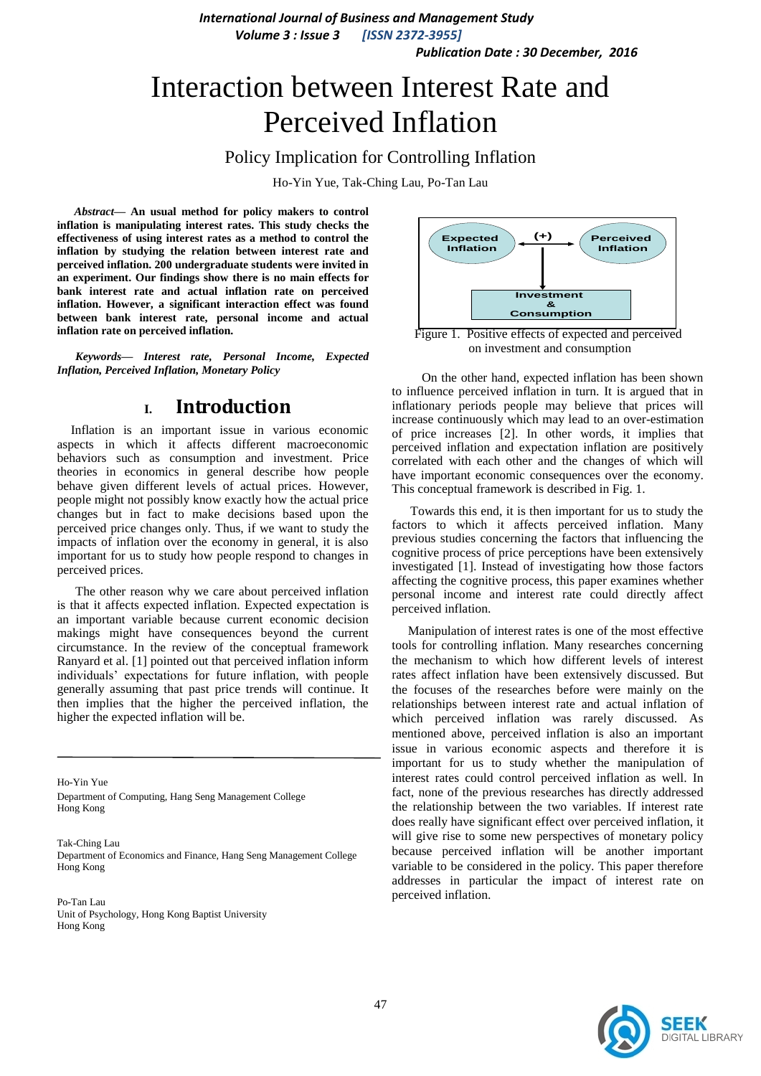*Publication Date : 30 December, 2016*

## Interaction between Interest Rate and Perceived Inflation

Policy Implication for Controlling Inflation

Ho-Yin Yue, Tak-Ching Lau, Po-Tan Lau

*Abstract***— An usual method for policy makers to control inflation is manipulating interest rates. This study checks the effectiveness of using interest rates as a method to control the inflation by studying the relation between interest rate and perceived inflation. 200 undergraduate students were invited in an experiment. Our findings show there is no main effects for bank interest rate and actual inflation rate on perceived inflation. However, a significant interaction effect was found between bank interest rate, personal income and actual inflation rate on perceived inflation.**

*Keywords— Interest rate, Personal Income, Expected Inflation, Perceived Inflation, Monetary Policy*

#### **I. Introduction**

Inflation is an important issue in various economic aspects in which it affects different macroeconomic behaviors such as consumption and investment. Price theories in economics in general describe how people behave given different levels of actual prices. However, people might not possibly know exactly how the actual price changes but in fact to make decisions based upon the perceived price changes only. Thus, if we want to study the impacts of inflation over the economy in general, it is also important for us to study how people respond to changes in perceived prices.

The other reason why we care about perceived inflation is that it affects expected inflation. Expected expectation is an important variable because current economic decision makings might have consequences beyond the current circumstance. In the review of the conceptual framework Ranyard et al. [1] pointed out that perceived inflation inform individuals' expectations for future inflation, with people generally assuming that past price trends will continue. It then implies that the higher the perceived inflation, the higher the expected inflation will be.

Ho-Yin Yue Department of Computing, Hang Seng Management College Hong Kong

Tak-Ching Lau Department of Economics and Finance, Hang Seng Management College Hong Kong

Po-Tan Lau Unit of Psychology, Hong Kong Baptist University Hong Kong



on investment and consumption

 On the other hand, expected inflation has been shown to influence perceived inflation in turn. It is argued that in inflationary periods people may believe that prices will increase continuously which may lead to an over-estimation of price increases [2]. In other words, it implies that perceived inflation and expectation inflation are positively correlated with each other and the changes of which will have important economic consequences over the economy. This conceptual framework is described in Fig. 1.

Towards this end, it is then important for us to study the factors to which it affects perceived inflation. Many previous studies concerning the factors that influencing the cognitive process of price perceptions have been extensively investigated [1]. Instead of investigating how those factors affecting the cognitive process, this paper examines whether personal income and interest rate could directly affect perceived inflation.

 Manipulation of interest rates is one of the most effective tools for controlling inflation. Many researches concerning the mechanism to which how different levels of interest rates affect inflation have been extensively discussed. But the focuses of the researches before were mainly on the relationships between interest rate and actual inflation of which perceived inflation was rarely discussed. As mentioned above, perceived inflation is also an important issue in various economic aspects and therefore it is important for us to study whether the manipulation of interest rates could control perceived inflation as well. In fact, none of the previous researches has directly addressed the relationship between the two variables. If interest rate does really have significant effect over perceived inflation, it will give rise to some new perspectives of monetary policy because perceived inflation will be another important variable to be considered in the policy. This paper therefore addresses in particular the impact of interest rate on perceived inflation.

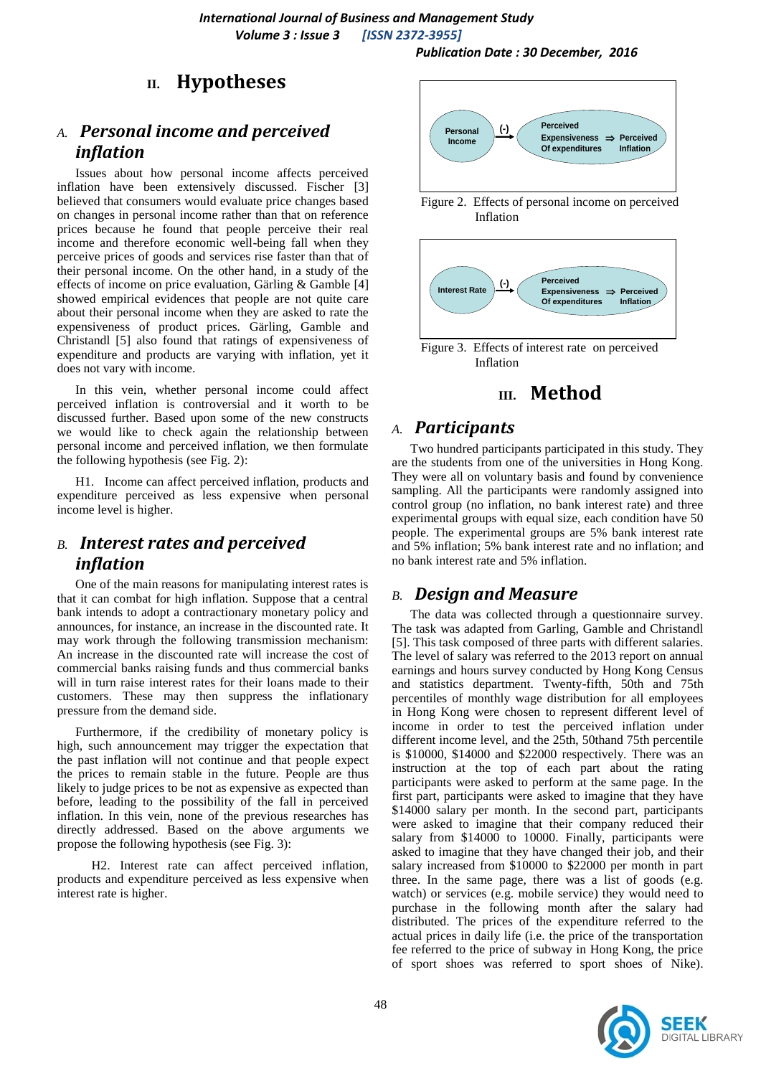#### *Publication Date : 30 December, 2016*

## **II. Hypotheses**

## *A. Personal income and perceived inflation*

Issues about how personal income affects perceived inflation have been extensively discussed. Fischer [3] believed that consumers would evaluate price changes based on changes in personal income rather than that on reference prices because he found that people perceive their real income and therefore economic well-being fall when they perceive prices of goods and services rise faster than that of their personal income. On the other hand, in a study of the effects of income on price evaluation, Gärling & Gamble [4] showed empirical evidences that people are not quite care about their personal income when they are asked to rate the expensiveness of product prices. Gärling, Gamble and Christandl [5] also found that ratings of expensiveness of expenditure and products are varying with inflation, yet it does not vary with income.

In this vein, whether personal income could affect perceived inflation is controversial and it worth to be discussed further. Based upon some of the new constructs we would like to check again the relationship between personal income and perceived inflation, we then formulate the following hypothesis (see Fig. 2):

H1. Income can affect perceived inflation, products and expenditure perceived as less expensive when personal income level is higher.

## *B. Interest rates and perceived inflation*

One of the main reasons for manipulating interest rates is that it can combat for high inflation. Suppose that a central bank intends to adopt a contractionary monetary policy and announces, for instance, an increase in the discounted rate. It may work through the following transmission mechanism: An increase in the discounted rate will increase the cost of commercial banks raising funds and thus commercial banks will in turn raise interest rates for their loans made to their customers. These may then suppress the inflationary pressure from the demand side.

Furthermore, if the credibility of monetary policy is high, such announcement may trigger the expectation that the past inflation will not continue and that people expect the prices to remain stable in the future. People are thus likely to judge prices to be not as expensive as expected than before, leading to the possibility of the fall in perceived inflation. In this vein, none of the previous researches has directly addressed. Based on the above arguments we propose the following hypothesis (see Fig. 3):

 H2. Interest rate can affect perceived inflation, products and expenditure perceived as less expensive when interest rate is higher.



 Figure 2. Effects of personal income on perceived Inflation



 Figure 3. Effects of interest rate on perceived Inflation

## **III. Method**

#### *A. Participants*

Two hundred participants participated in this study. They are the students from one of the universities in Hong Kong. They were all on voluntary basis and found by convenience sampling. All the participants were randomly assigned into control group (no inflation, no bank interest rate) and three experimental groups with equal size, each condition have 50 people. The experimental groups are 5% bank interest rate and 5% inflation; 5% bank interest rate and no inflation; and no bank interest rate and 5% inflation.

#### *B. Design and Measure*

The data was collected through a questionnaire survey. The task was adapted from Garling, Gamble and Christandl [5]. This task composed of three parts with different salaries. The level of salary was referred to the 2013 report on annual earnings and hours survey conducted by Hong Kong Census and statistics department. Twenty-fifth, 50th and 75th percentiles of monthly wage distribution for all employees in Hong Kong were chosen to represent different level of income in order to test the perceived inflation under different income level, and the 25th, 50thand 75th percentile is \$10000, \$14000 and \$22000 respectively. There was an instruction at the top of each part about the rating participants were asked to perform at the same page. In the first part, participants were asked to imagine that they have \$14000 salary per month. In the second part, participants were asked to imagine that their company reduced their salary from \$14000 to 10000. Finally, participants were asked to imagine that they have changed their job, and their salary increased from \$10000 to \$22000 per month in part three. In the same page, there was a list of goods (e.g. watch) or services (e.g. mobile service) they would need to purchase in the following month after the salary had distributed. The prices of the expenditure referred to the actual prices in daily life (i.e. the price of the transportation fee referred to the price of subway in Hong Kong, the price of sport shoes was referred to sport shoes of Nike).

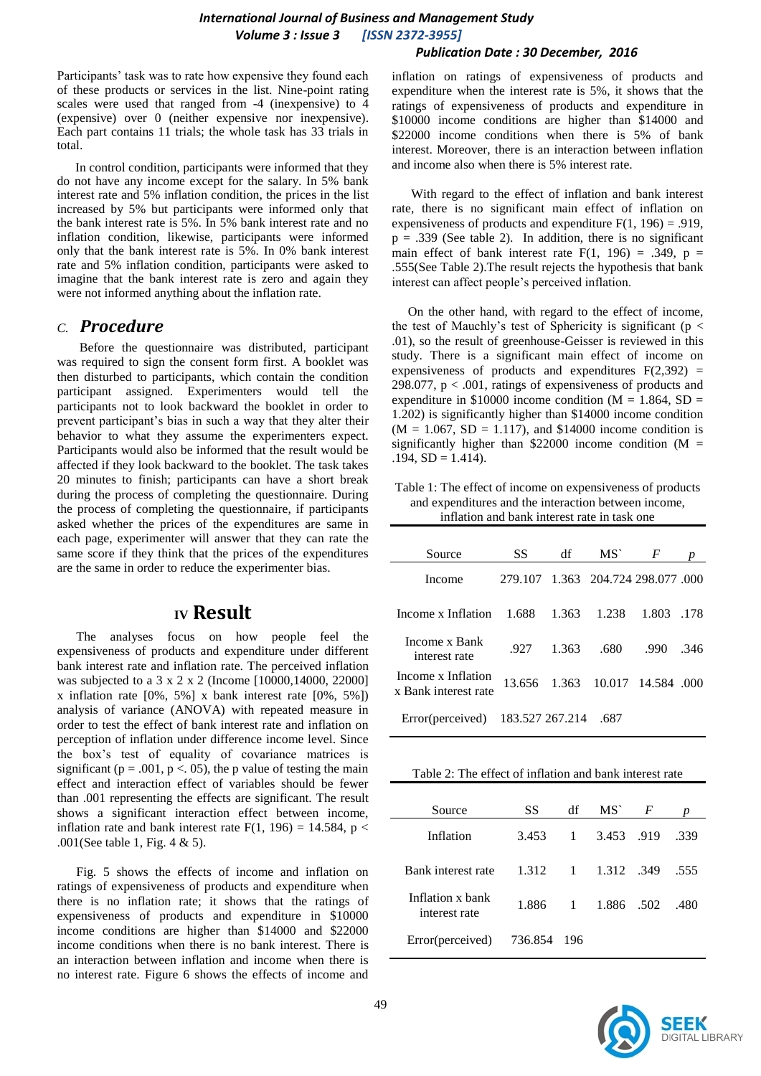#### *Publication Date : 30 December, 2016*

Participants' task was to rate how expensive they found each of these products or services in the list. Nine-point rating scales were used that ranged from -4 (inexpensive) to 4 (expensive) over 0 (neither expensive nor inexpensive). Each part contains 11 trials; the whole task has 33 trials in total.

In control condition, participants were informed that they do not have any income except for the salary. In 5% bank interest rate and 5% inflation condition, the prices in the list increased by 5% but participants were informed only that the bank interest rate is 5%. In 5% bank interest rate and no inflation condition, likewise, participants were informed only that the bank interest rate is 5%. In 0% bank interest rate and 5% inflation condition, participants were asked to imagine that the bank interest rate is zero and again they were not informed anything about the inflation rate.

#### *C. Procedure*

 Before the questionnaire was distributed, participant was required to sign the consent form first. A booklet was then disturbed to participants, which contain the condition participant assigned. Experimenters would tell the participants not to look backward the booklet in order to prevent participant's bias in such a way that they alter their behavior to what they assume the experimenters expect. Participants would also be informed that the result would be affected if they look backward to the booklet. The task takes 20 minutes to finish; participants can have a short break during the process of completing the questionnaire. During the process of completing the questionnaire, if participants asked whether the prices of the expenditures are same in each page, experimenter will answer that they can rate the same score if they think that the prices of the expenditures are the same in order to reduce the experimenter bias.

## **IV Result**

 The analyses focus on how people feel the expensiveness of products and expenditure under different bank interest rate and inflation rate. The perceived inflation was subjected to a 3 x 2 x 2 (Income [10000,14000, 22000] x inflation rate [0%, 5%] x bank interest rate [0%, 5%]) analysis of variance (ANOVA) with repeated measure in order to test the effect of bank interest rate and inflation on perception of inflation under difference income level. Since the box's test of equality of covariance matrices is significant ( $p = .001$ ,  $p < .05$ ), the p value of testing the main effect and interaction effect of variables should be fewer than .001 representing the effects are significant. The result shows a significant interaction effect between income, inflation rate and bank interest rate  $F(1, 196) = 14.584$ , p < .001(See table 1, Fig. 4 & 5).

 Fig. 5 shows the effects of income and inflation on ratings of expensiveness of products and expenditure when there is no inflation rate; it shows that the ratings of expensiveness of products and expenditure in \$10000 income conditions are higher than \$14000 and \$22000 income conditions when there is no bank interest. There is an interaction between inflation and income when there is no interest rate. Figure 6 shows the effects of income and

inflation on ratings of expensiveness of products and expenditure when the interest rate is 5%, it shows that the ratings of expensiveness of products and expenditure in \$10000 income conditions are higher than \$14000 and \$22000 income conditions when there is 5% of bank interest. Moreover, there is an interaction between inflation and income also when there is 5% interest rate.

 With regard to the effect of inflation and bank interest rate, there is no significant main effect of inflation on expensiveness of products and expenditure  $F(1, 196) = .919$ ,  $p = .339$  (See table 2). In addition, there is no significant main effect of bank interest rate  $F(1, 196) = .349$ ,  $p =$ .555(See Table 2).The result rejects the hypothesis that bank interest can affect people's perceived inflation.

 On the other hand, with regard to the effect of income, the test of Mauchly's test of Sphericity is significant ( $p <$ .01), so the result of greenhouse-Geisser is reviewed in this study. There is a significant main effect of income on expensiveness of products and expenditures  $F(2,392) =$ 298.077,  $p < .001$ , ratings of expensiveness of products and expenditure in \$10000 income condition ( $M = 1.864$ , SD = 1.202) is significantly higher than \$14000 income condition  $(M = 1.067, SD = 1.117)$ , and \$14000 income condition is significantly higher than \$22000 income condition ( $M =$  $.194$ ,  $SD = 1.414$ ).

Table 1: The effect of income on expensiveness of products and expenditures and the interaction between income, inflation and bank interest rate in task one

| Source                                     | SS      | df              | MS <sup>-</sup> | F                          |       |
|--------------------------------------------|---------|-----------------|-----------------|----------------------------|-------|
| Income                                     | 279.107 |                 |                 | 1.363 204.724 298.077 .000 |       |
| Income x Inflation                         | 1.688   | 1.363           | 1.238           | 1.803                      | .178  |
| Income x Bank<br>interest rate             | .927    | 1.363           | .680            | .990                       | .346  |
| Income x Inflation<br>x Bank interest rate | 13.656  | 1.363           |                 | 10.017 14.584              | - 000 |
| Error(perceived)                           |         | 183.527 267.214 | .687            |                            |       |

| Source                            | SS    | df           | MS`        | $\overline{F}$ | Ŋ    |
|-----------------------------------|-------|--------------|------------|----------------|------|
| Inflation                         | 3.453 | 1            | 3.453 .919 |                | .339 |
| Bank interest rate                | 1.312 | 1            | 1.312 .349 |                | .555 |
| Inflation x bank<br>interest rate | 1.886 | $\mathbf{1}$ | 1.886 .502 |                | .480 |
| Error(perceived) 736.854          |       | - 196        |            |                |      |

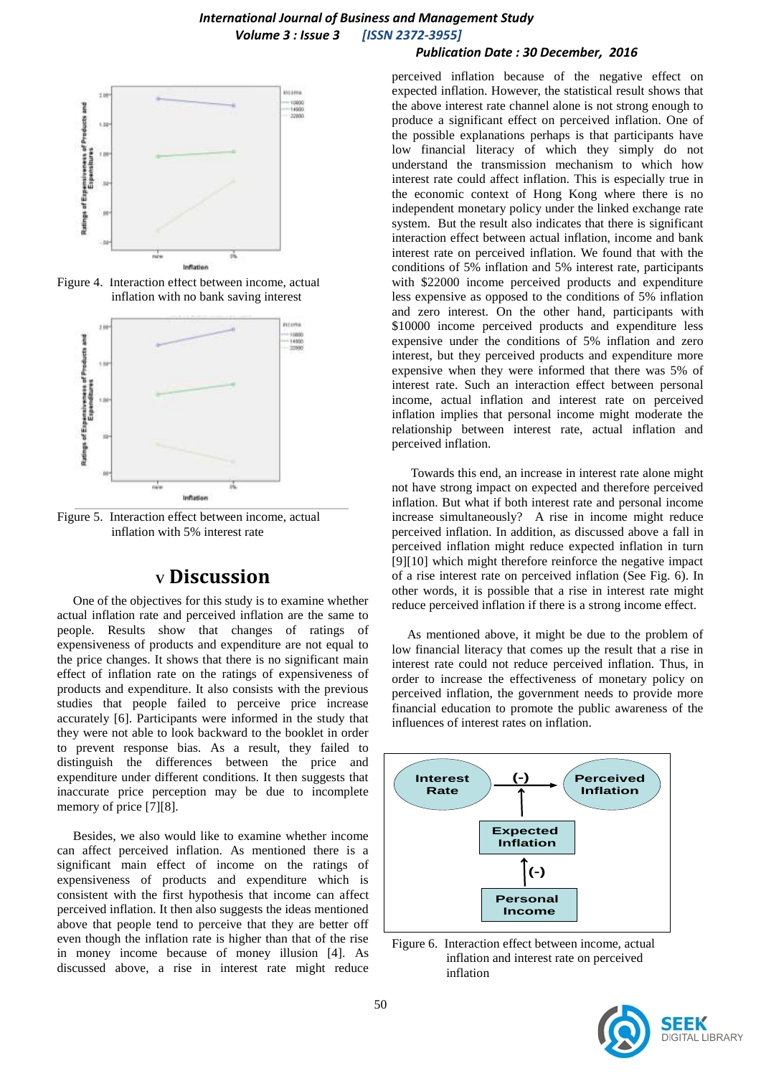# 10000 Ratings of Expensiveness of Products and  $\overline{a}$ Inflation

Figure 4. Interaction effect between income, actual inflation with no bank saving interest



Figure 5. Interaction effect between income, actual inflation with 5% interest rate

## **<sup>V</sup> Discussion**

 One of the objectives for this study is to examine whether actual inflation rate and perceived inflation are the same to people. Results show that changes of ratings of expensiveness of products and expenditure are not equal to the price changes. It shows that there is no significant main effect of inflation rate on the ratings of expensiveness of products and expenditure. It also consists with the previous studies that people failed to perceive price increase accurately [6]. Participants were informed in the study that they were not able to look backward to the booklet in order to prevent response bias. As a result, they failed to distinguish the differences between the price and expenditure under different conditions. It then suggests that inaccurate price perception may be due to incomplete memory of price [7][8].

 Besides, we also would like to examine whether income can affect perceived inflation. As mentioned there is a significant main effect of income on the ratings of expensiveness of products and expenditure which is consistent with the first hypothesis that income can affect perceived inflation. It then also suggests the ideas mentioned above that people tend to perceive that they are better off even though the inflation rate is higher than that of the rise in money income because of money illusion [4]. As discussed above, a rise in interest rate might reduce

#### *Publication Date : 30 December, 2016*

perceived inflation because of the negative effect on expected inflation. However, the statistical result shows that the above interest rate channel alone is not strong enough to produce a significant effect on perceived inflation. One of the possible explanations perhaps is that participants have low financial literacy of which they simply do not understand the transmission mechanism to which how interest rate could affect inflation. This is especially true in the economic context of Hong Kong where there is no independent monetary policy under the linked exchange rate system. But the result also indicates that there is significant interaction effect between actual inflation, income and bank interest rate on perceived inflation. We found that with the conditions of 5% inflation and 5% interest rate, participants with \$22000 income perceived products and expenditure less expensive as opposed to the conditions of 5% inflation and zero interest. On the other hand, participants with \$10000 income perceived products and expenditure less expensive under the conditions of 5% inflation and zero interest, but they perceived products and expenditure more expensive when they were informed that there was 5% of interest rate. Such an interaction effect between personal income, actual inflation and interest rate on perceived inflation implies that personal income might moderate the relationship between interest rate, actual inflation and perceived inflation.

 Towards this end, an increase in interest rate alone might not have strong impact on expected and therefore perceived inflation. But what if both interest rate and personal income increase simultaneously? A rise in income might reduce perceived inflation. In addition, as discussed above a fall in perceived inflation might reduce expected inflation in turn [9][10] which might therefore reinforce the negative impact of a rise interest rate on perceived inflation (See Fig. 6). In other words, it is possible that a rise in interest rate might reduce perceived inflation if there is a strong income effect.

 As mentioned above, it might be due to the problem of low financial literacy that comes up the result that a rise in interest rate could not reduce perceived inflation. Thus, in order to increase the effectiveness of monetary policy on perceived inflation, the government needs to provide more financial education to promote the public awareness of the influences of interest rates on inflation.



Figure 6. Interaction effect between income, actual inflation and interest rate on perceived inflation